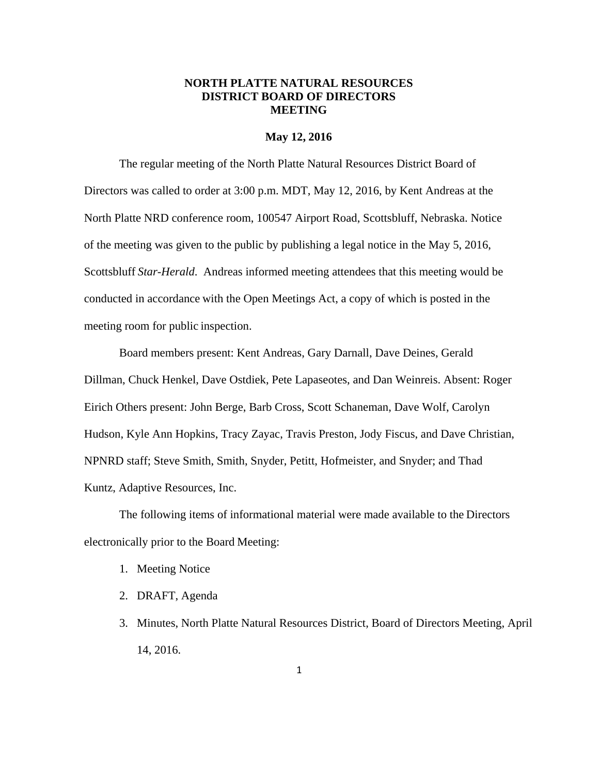# **NORTH PLATTE NATURAL RESOURCES DISTRICT BOARD OF DIRECTORS MEETING**

#### **May 12, 2016**

The regular meeting of the North Platte Natural Resources District Board of Directors was called to order at 3:00 p.m. MDT, May 12, 2016, by Kent Andreas at the North Platte NRD conference room, 100547 Airport Road, Scottsbluff, Nebraska. Notice of the meeting was given to the public by publishing a legal notice in the May 5, 2016, Scottsbluff *Star-Herald*. Andreas informed meeting attendees that this meeting would be conducted in accordance with the Open Meetings Act, a copy of which is posted in the meeting room for public inspection.

Board members present: Kent Andreas, Gary Darnall, Dave Deines, Gerald Dillman, Chuck Henkel, Dave Ostdiek, Pete Lapaseotes, and Dan Weinreis. Absent: Roger Eirich Others present: John Berge, Barb Cross, Scott Schaneman, Dave Wolf, Carolyn Hudson, Kyle Ann Hopkins, Tracy Zayac, Travis Preston, Jody Fiscus, and Dave Christian, NPNRD staff; Steve Smith, Smith, Snyder, Petitt, Hofmeister, and Snyder; and Thad Kuntz, Adaptive Resources, Inc.

The following items of informational material were made available to the Directors electronically prior to the Board Meeting:

- 1. Meeting Notice
- 2. DRAFT, Agenda
- 3. Minutes, North Platte Natural Resources District, Board of Directors Meeting, April 14, 2016.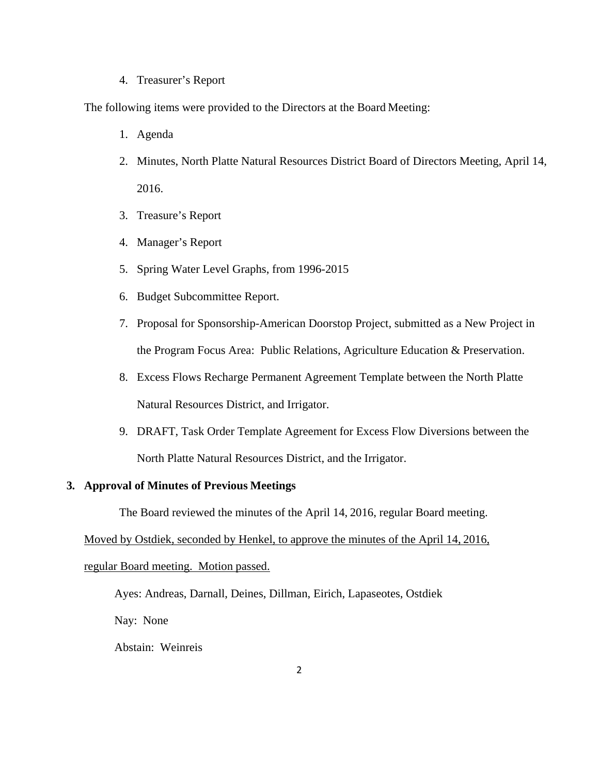### 4. Treasurer's Report

The following items were provided to the Directors at the Board Meeting:

- 1. Agenda
- 2. Minutes, North Platte Natural Resources District Board of Directors Meeting, April 14, 2016.
- 3. Treasure's Report
- 4. Manager's Report
- 5. Spring Water Level Graphs, from 1996-2015
- 6. Budget Subcommittee Report.
- 7. Proposal for Sponsorship-American Doorstop Project, submitted as a New Project in the Program Focus Area: Public Relations, Agriculture Education & Preservation.
- 8. Excess Flows Recharge Permanent Agreement Template between the North Platte Natural Resources District, and Irrigator.
- 9. DRAFT, Task Order Template Agreement for Excess Flow Diversions between the North Platte Natural Resources District, and the Irrigator.

# **3. Approval of Minutes of Previous Meetings**

The Board reviewed the minutes of the April 14, 2016, regular Board meeting.

Moved by Ostdiek, seconded by Henkel, to approve the minutes of the April 14, 2016,

#### regular Board meeting. Motion passed.

Ayes: Andreas, Darnall, Deines, Dillman, Eirich, Lapaseotes, Ostdiek

Nay: None

Abstain: Weinreis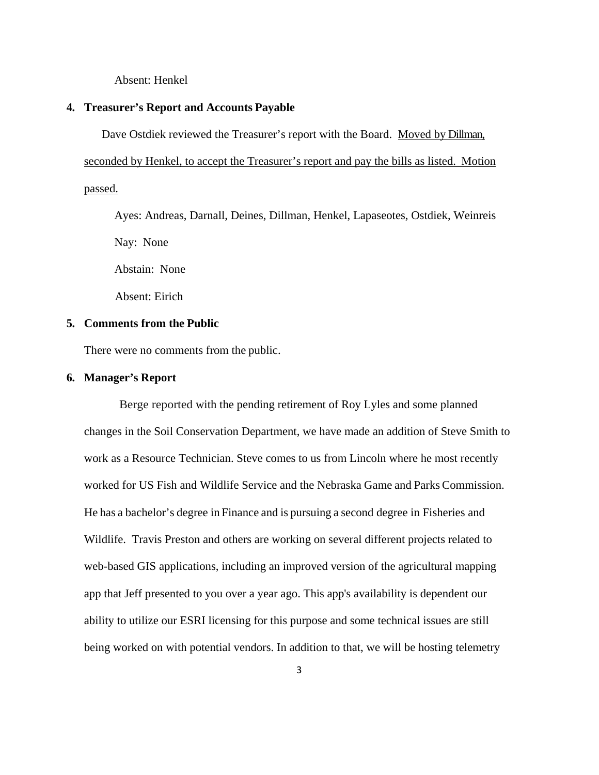Absent: Henkel

# **4. Treasurer's Report and Accounts Payable**

Dave Ostdiek reviewed the Treasurer's report with the Board. Moved by Dillman,

seconded by Henkel, to accept the Treasurer's report and pay the bills as listed. Motion passed.

Ayes: Andreas, Darnall, Deines, Dillman, Henkel, Lapaseotes, Ostdiek, Weinreis Nay: None

Abstain: None

Absent: Eirich

# **5. Comments from the Public**

There were no comments from the public.

# **6. Manager's Report**

Berge reported with the pending retirement of Roy Lyles and some planned changes in the Soil Conservation Department, we have made an addition of Steve Smith to work as a Resource Technician. Steve comes to us from Lincoln where he most recently worked for US Fish and Wildlife Service and the Nebraska Game and Parks Commission. He has a bachelor's degree in Finance and is pursuing a second degree in Fisheries and Wildlife. Travis Preston and others are working on several different projects related to web-based GIS applications, including an improved version of the agricultural mapping app that Jeff presented to you over a year ago. This app's availability is dependent our ability to utilize our ESRI licensing for this purpose and some technical issues are still being worked on with potential vendors. In addition to that, we will be hosting telemetry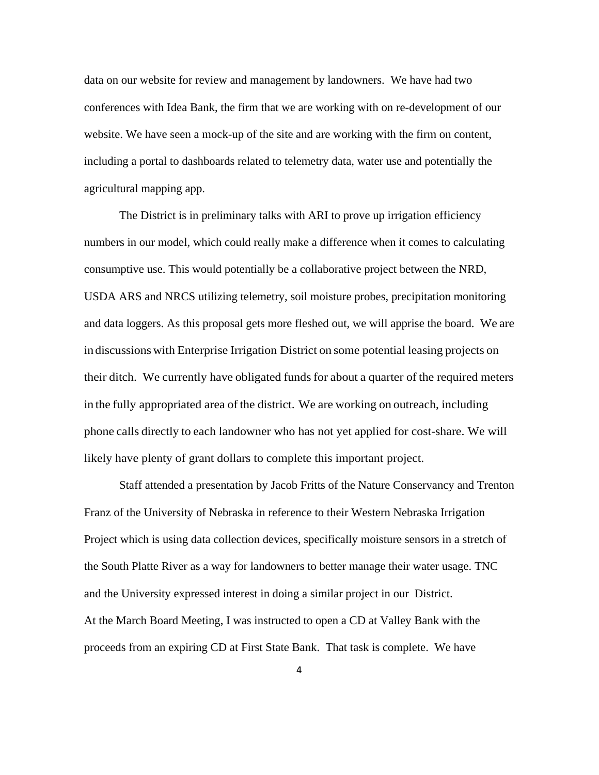data on our website for review and management by landowners. We have had two conferences with Idea Bank, the firm that we are working with on re-development of our website. We have seen a mock-up of the site and are working with the firm on content, including a portal to dashboards related to telemetry data, water use and potentially the agricultural mapping app.

The District is in preliminary talks with ARI to prove up irrigation efficiency numbers in our model, which could really make a difference when it comes to calculating consumptive use. This would potentially be a collaborative project between the NRD, USDA ARS and NRCS utilizing telemetry, soil moisture probes, precipitation monitoring and data loggers. As this proposal gets more fleshed out, we will apprise the board. We are in discussions with Enterprise Irrigation District on some potential leasing projects on their ditch. We currently have obligated funds for about a quarter of the required meters in the fully appropriated area of the district. We are working on outreach, including phone calls directly to each landowner who has not yet applied for cost-share. We will likely have plenty of grant dollars to complete this important project.

Staff attended a presentation by Jacob Fritts of the Nature Conservancy and Trenton Franz of the University of Nebraska in reference to their Western Nebraska Irrigation Project which is using data collection devices, specifically moisture sensors in a stretch of the South Platte River as a way for landowners to better manage their water usage. TNC and the University expressed interest in doing a similar project in our District. At the March Board Meeting, I was instructed to open a CD at Valley Bank with the proceeds from an expiring CD at First State Bank. That task is complete. We have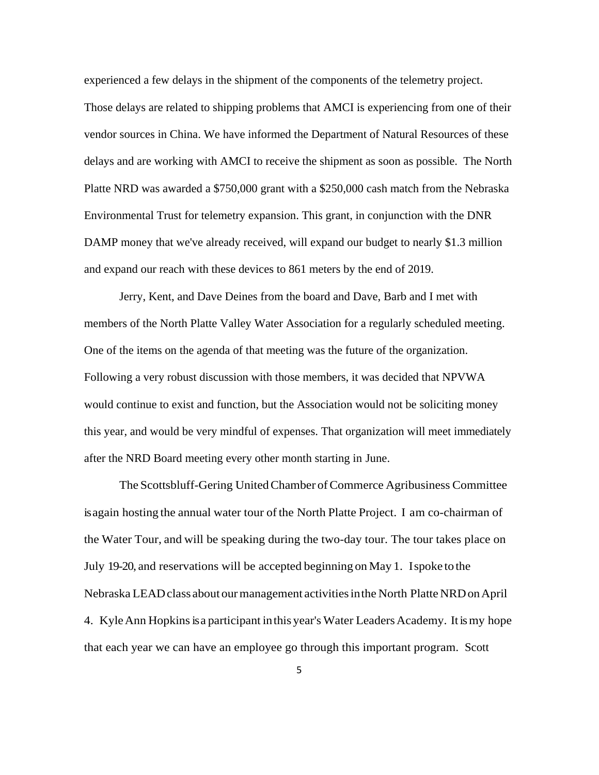experienced a few delays in the shipment of the components of the telemetry project.

Those delays are related to shipping problems that AMCI is experiencing from one of their vendor sources in China. We have informed the Department of Natural Resources of these delays and are working with AMCI to receive the shipment as soon as possible. The North Platte NRD was awarded a \$750,000 grant with a \$250,000 cash match from the Nebraska Environmental Trust for telemetry expansion. This grant, in conjunction with the DNR DAMP money that we've already received, will expand our budget to nearly \$1.3 million and expand our reach with these devices to 861 meters by the end of 2019.

Jerry, Kent, and Dave Deines from the board and Dave, Barb and I met with members of the North Platte Valley Water Association for a regularly scheduled meeting. One of the items on the agenda of that meeting was the future of the organization. Following a very robust discussion with those members, it was decided that NPVWA would continue to exist and function, but the Association would not be soliciting money this year, and would be very mindful of expenses. That organization will meet immediately after the NRD Board meeting every other month starting in June.

The Scottsbluff-Gering United Chamber of Commerce Agribusiness Committee is again hosting the annual water tour of the North Platte Project. I am co-chairman of the Water Tour, and will be speaking during the two-day tour. The tour takes place on July 19-20, and reservations will be accepted beginning on May 1. I spoke to the Nebraska LEAD class about our management activities in the North Platte NRD on April 4. Kyle Ann Hopkins is a participant in this year's Water Leaders Academy. It is my hope that each year we can have an employee go through this important program. Scott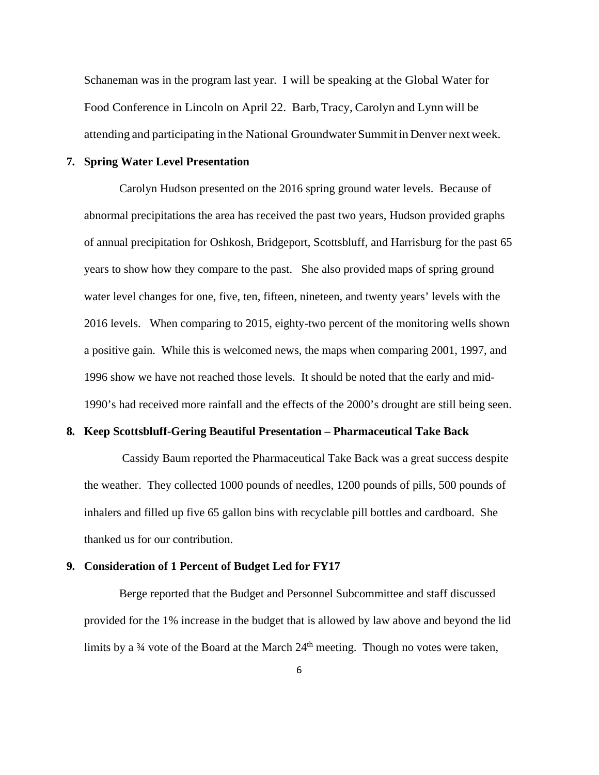Schaneman was in the program last year. I will be speaking at the Global Water for Food Conference in Lincoln on April 22. Barb, Tracy, Carolyn and Lynn will be attending and participating in the National Groundwater Summit in Denver next week.

# **7. Spring Water Level Presentation**

Carolyn Hudson presented on the 2016 spring ground water levels. Because of abnormal precipitations the area has received the past two years, Hudson provided graphs of annual precipitation for Oshkosh, Bridgeport, Scottsbluff, and Harrisburg for the past 65 years to show how they compare to the past. She also provided maps of spring ground water level changes for one, five, ten, fifteen, nineteen, and twenty years' levels with the 2016 levels. When comparing to 2015, eighty-two percent of the monitoring wells shown a positive gain. While this is welcomed news, the maps when comparing 2001, 1997, and 1996 show we have not reached those levels. It should be noted that the early and mid-1990's had received more rainfall and the effects of the 2000's drought are still being seen.

## **8. Keep Scottsbluff-Gering Beautiful Presentation – Pharmaceutical Take Back**

 Cassidy Baum reported the Pharmaceutical Take Back was a great success despite the weather. They collected 1000 pounds of needles, 1200 pounds of pills, 500 pounds of inhalers and filled up five 65 gallon bins with recyclable pill bottles and cardboard. She thanked us for our contribution.

#### **9. Consideration of 1 Percent of Budget Led for FY17**

Berge reported that the Budget and Personnel Subcommittee and staff discussed provided for the 1% increase in the budget that is allowed by law above and beyond the lid limits by a 34 vote of the Board at the March 24<sup>th</sup> meeting. Though no votes were taken,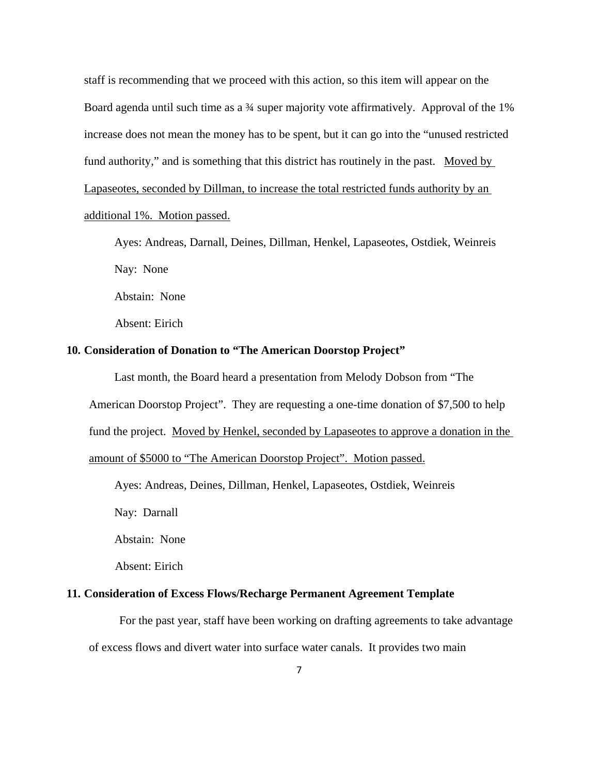staff is recommending that we proceed with this action, so this item will appear on the Board agenda until such time as a <sup>3/4</sup> super majority vote affirmatively. Approval of the 1% increase does not mean the money has to be spent, but it can go into the "unused restricted fund authority," and is something that this district has routinely in the past. Moved by Lapaseotes, seconded by Dillman, to increase the total restricted funds authority by an additional 1%. Motion passed.

Ayes: Andreas, Darnall, Deines, Dillman, Henkel, Lapaseotes, Ostdiek, Weinreis Nay: None Abstain: None

Absent: Eirich

# **10. Consideration of Donation to "The American Doorstop Project"**

Last month, the Board heard a presentation from Melody Dobson from "The American Doorstop Project". They are requesting a one-time donation of \$7,500 to help fund the project. Moved by Henkel, seconded by Lapaseotes to approve a donation in the amount of \$5000 to "The American Doorstop Project". Motion passed.

Ayes: Andreas, Deines, Dillman, Henkel, Lapaseotes, Ostdiek, Weinreis

Nay: Darnall

Abstain: None

Absent: Eirich

### **11. Consideration of Excess Flows/Recharge Permanent Agreement Template**

For the past year, staff have been working on drafting agreements to take advantage of excess flows and divert water into surface water canals. It provides two main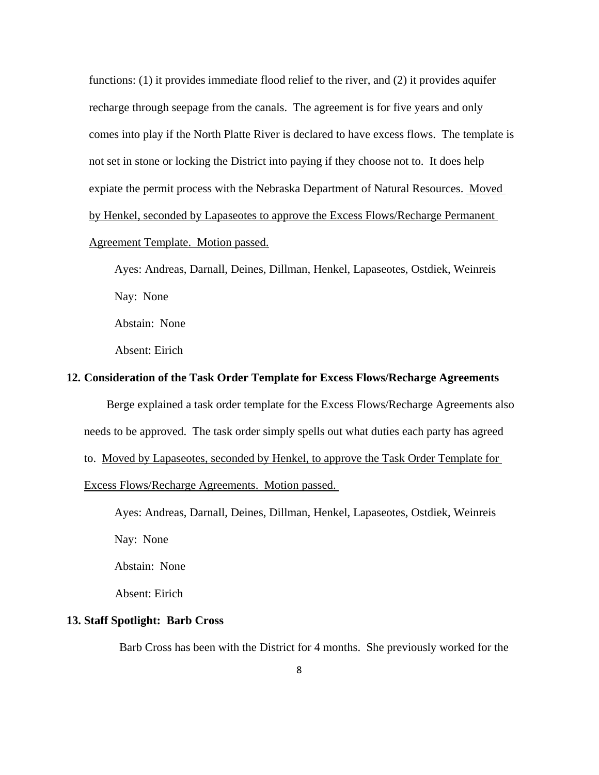functions: (1) it provides immediate flood relief to the river, and (2) it provides aquifer recharge through seepage from the canals. The agreement is for five years and only comes into play if the North Platte River is declared to have excess flows. The template is not set in stone or locking the District into paying if they choose not to. It does help expiate the permit process with the Nebraska Department of Natural Resources. Moved by Henkel, seconded by Lapaseotes to approve the Excess Flows/Recharge Permanent Agreement Template. Motion passed.

Ayes: Andreas, Darnall, Deines, Dillman, Henkel, Lapaseotes, Ostdiek, Weinreis Nay: None

Abstain: None

Absent: Eirich

# **12. Consideration of the Task Order Template for Excess Flows/Recharge Agreements**

 Berge explained a task order template for the Excess Flows/Recharge Agreements also needs to be approved. The task order simply spells out what duties each party has agreed

to. Moved by Lapaseotes, seconded by Henkel, to approve the Task Order Template for

Excess Flows/Recharge Agreements. Motion passed.

Ayes: Andreas, Darnall, Deines, Dillman, Henkel, Lapaseotes, Ostdiek, Weinreis

Nay: None

Abstain: None

Absent: Eirich

### **13. Staff Spotlight: Barb Cross**

Barb Cross has been with the District for 4 months. She previously worked for the